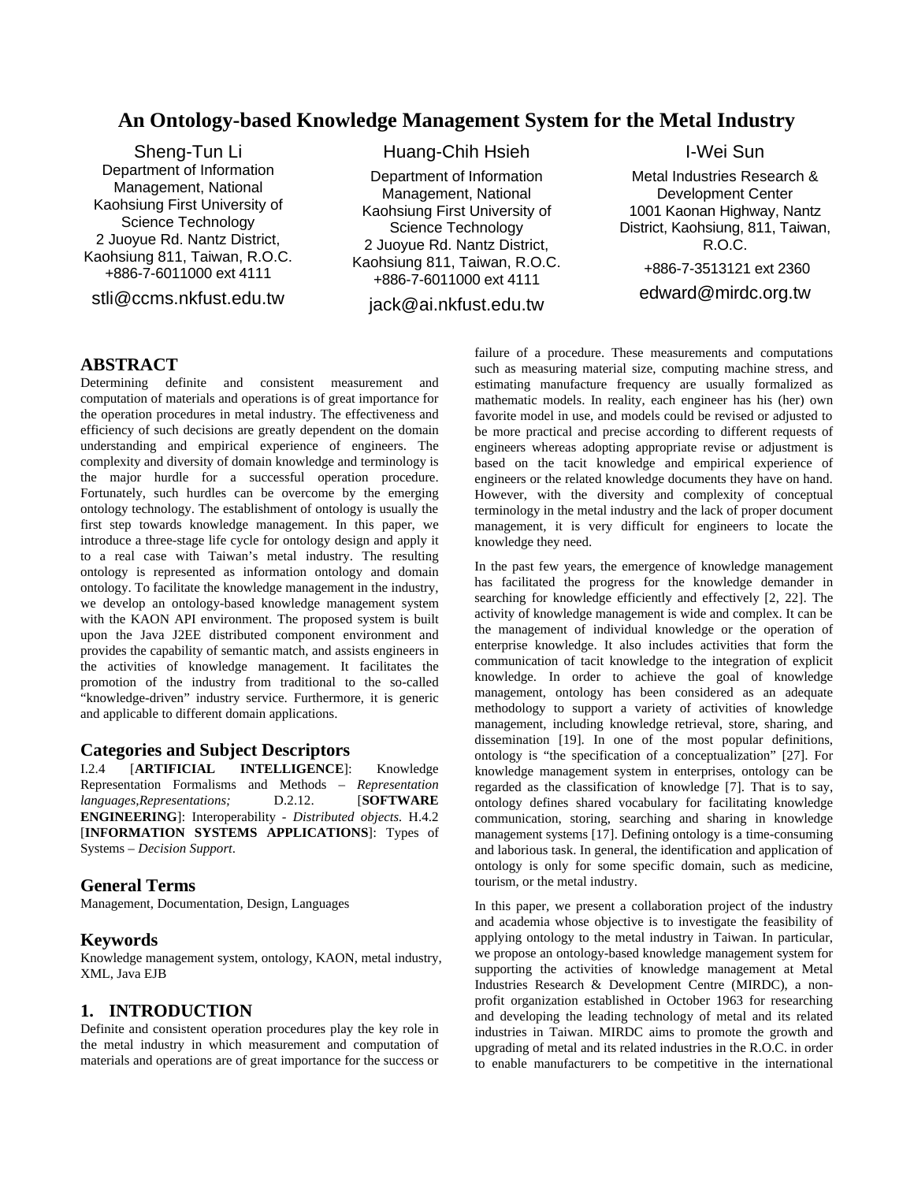# **An Ontology-based Knowledge Management System for the Metal Industry**

Sheng-Tun Li Department of Information Management, National Kaohsiung First University of Science Technology 2 Juoyue Rd. Nantz District, Kaohsiung 811, Taiwan, R.O.C. +886-7-6011000 ext 4111

stli@ccms.nkfust.edu.tw

# Huang-Chih Hsieh

Department of Information Management, National Kaohsiung First University of Science Technology 2 Juoyue Rd. Nantz District, Kaohsiung 811, Taiwan, R.O.C. +886-7-6011000 ext 4111

jack@ai.nkfust.edu.tw

I-Wei Sun

Metal Industries Research & Development Center 1001 Kaonan Highway, Nantz District, Kaohsiung, 811, Taiwan, R.O.C. +886-7-3513121 ext 2360 edward@mirdc.org.tw

## **ABSTRACT**

Determining definite and consistent measurement and computation of materials and operations is of great importance for the operation procedures in metal industry. The effectiveness and efficiency of such decisions are greatly dependent on the domain understanding and empirical experience of engineers. The complexity and diversity of domain knowledge and terminology is the major hurdle for a successful operation procedure. Fortunately, such hurdles can be overcome by the emerging ontology technology. The establishment of ontology is usually the first step towards knowledge management. In this paper, we introduce a three-stage life cycle for ontology design and apply it to a real case with Taiwan's metal industry. The resulting ontology is represented as information ontology and domain ontology. To facilitate the knowledge management in the industry, we develop an ontology-based knowledge management system with the KAON API environment. The proposed system is built upon the Java J2EE distributed component environment and provides the capability of semantic match, and assists engineers in the activities of knowledge management. It facilitates the promotion of the industry from traditional to the so-called "knowledge-driven" industry service. Furthermore, it is generic and applicable to different domain applications.

## **Categories and Subject Descriptors**

I.2.4 [**ARTIFICIAL INTELLIGENCE**]: Knowledge Representation Formalisms and Methods – *Representation languages,Representations;* D.2.12. [**SOFTWARE ENGINEERING**]: Interoperability - *Distributed objects.* H.4.2 [**INFORMATION SYSTEMS APPLICATIONS**]: Types of Systems – *Decision Support*.

### **General Terms**

Management, Documentation, Design, Languages

#### **Keywords**

Knowledge management system, ontology, KAON, metal industry, XML, Java EJB

# **1. INTRODUCTION**

Definite and consistent operation procedures play the key role in the metal industry in which measurement and computation of materials and operations are of great importance for the success or

failure of a procedure. These measurements and computations such as measuring material size, computing machine stress, and estimating manufacture frequency are usually formalized as mathematic models. In reality, each engineer has his (her) own favorite model in use, and models could be revised or adjusted to be more practical and precise according to different requests of engineers whereas adopting appropriate revise or adjustment is based on the tacit knowledge and empirical experience of engineers or the related knowledge documents they have on hand. However, with the diversity and complexity of conceptual terminology in the metal industry and the lack of proper document management, it is very difficult for engineers to locate the knowledge they need.

In the past few years, the emergence of knowledge management has facilitated the progress for the knowledge demander in searching for knowledge efficiently and effectively [2, 22]. The activity of knowledge management is wide and complex. It can be the management of individual knowledge or the operation of enterprise knowledge. It also includes activities that form the communication of tacit knowledge to the integration of explicit knowledge. In order to achieve the goal of knowledge management, ontology has been considered as an adequate methodology to support a variety of activities of knowledge management, including knowledge retrieval, store, sharing, and dissemination [19]. In one of the most popular definitions, ontology is "the specification of a conceptualization" [27]. For knowledge management system in enterprises, ontology can be regarded as the classification of knowledge [7]. That is to say, ontology defines shared vocabulary for facilitating knowledge communication, storing, searching and sharing in knowledge management systems [17]. Defining ontology is a time-consuming and laborious task. In general, the identification and application of ontology is only for some specific domain, such as medicine, tourism, or the metal industry.

In this paper, we present a collaboration project of the industry and academia whose objective is to investigate the feasibility of applying ontology to the metal industry in Taiwan. In particular, we propose an ontology-based knowledge management system for supporting the activities of knowledge management at Metal Industries Research & Development Centre (MIRDC), a nonprofit organization established in October 1963 for researching and developing the leading technology of metal and its related industries in Taiwan. MIRDC aims to promote the growth and upgrading of metal and its related industries in the R.O.C. in order to enable manufacturers to be competitive in the international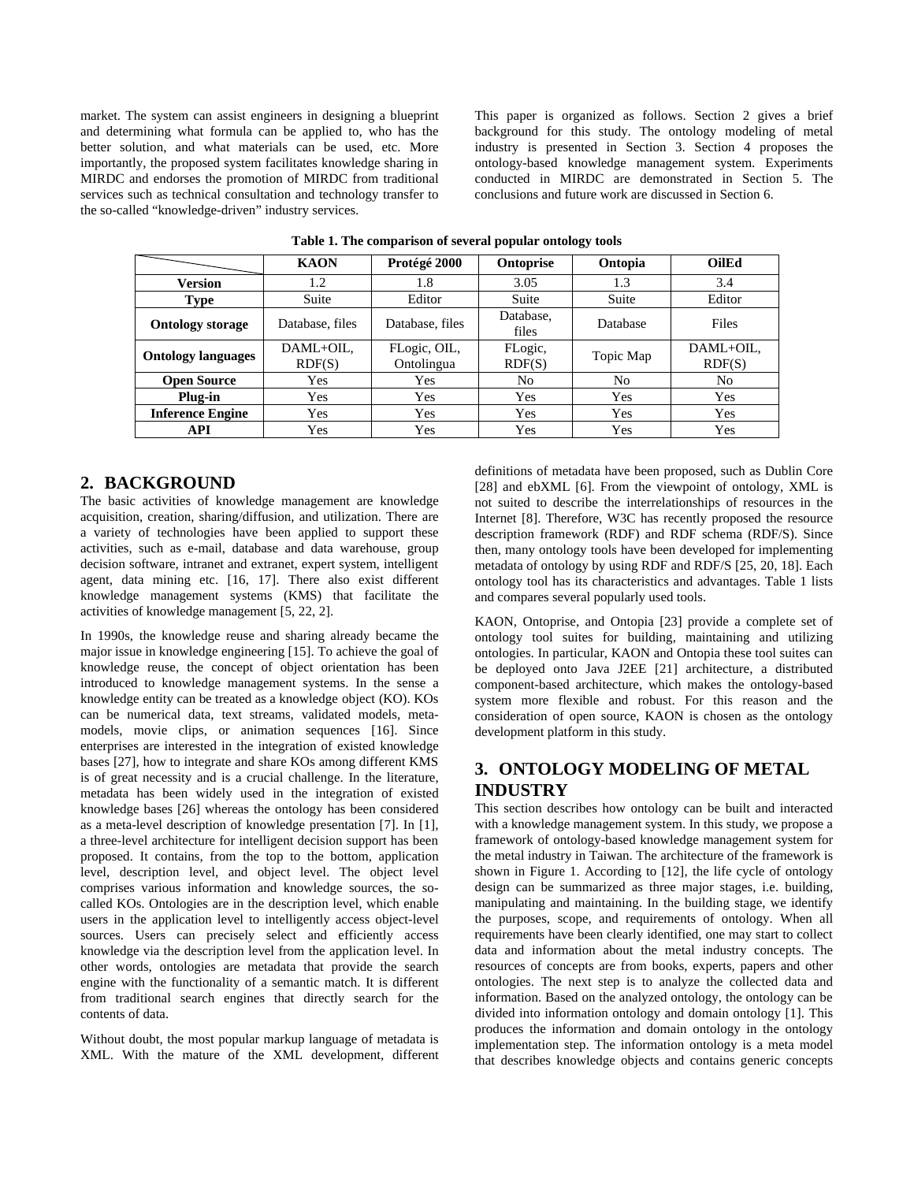market. The system can assist engineers in designing a blueprint and determining what formula can be applied to, who has the better solution, and what materials can be used, etc. More importantly, the proposed system facilitates knowledge sharing in MIRDC and endorses the promotion of MIRDC from traditional services such as technical consultation and technology transfer to the so-called "knowledge-driven" industry services.

This paper is organized as follows. Section 2 gives a brief background for this study. The ontology modeling of metal industry is presented in Section 3. Section 4 proposes the ontology-based knowledge management system. Experiments conducted in MIRDC are demonstrated in Section 5. The conclusions and future work are discussed in Section 6.

|                           | <b>KAON</b>         | Protégé 2000               | <b>Ontoprise</b>   | Ontopia        | <b>OilEd</b>        |
|---------------------------|---------------------|----------------------------|--------------------|----------------|---------------------|
| Version                   | 1.2                 | 1.8                        | 3.05               | 1.3            | 3.4                 |
| <b>Type</b>               | Suite               | Editor                     | Suite              | Suite          | Editor              |
| <b>Ontology storage</b>   | Database, files     | Database, files            | Database,<br>files | Database       | Files               |
| <b>Ontology languages</b> | DAML+OIL,<br>RDF(S) | FLogic, OIL,<br>Ontolingua | FLogic,<br>RDF(S)  | Topic Map      | DAML+OIL,<br>RDF(S) |
| <b>Open Source</b>        | Yes                 | Yes                        | No                 | N <sub>0</sub> | N <sub>0</sub>      |
| Plug-in                   | Yes                 | Yes                        | Yes                | Yes            | Yes                 |
| <b>Inference Engine</b>   | Yes                 | Yes                        | Yes                | Yes            | Yes                 |
| API                       | Yes                 | Yes                        | Yes                | Yes            | Yes                 |

**Table 1. The comparison of several popular ontology tools**

## **2. BACKGROUND**

The basic activities of knowledge management are knowledge acquisition, creation, sharing/diffusion, and utilization. There are a variety of technologies have been applied to support these activities, such as e-mail, database and data warehouse, group decision software, intranet and extranet, expert system, intelligent agent, data mining etc. [16, 17]. There also exist different knowledge management systems (KMS) that facilitate the activities of knowledge management [5, 22, 2].

In 1990s, the knowledge reuse and sharing already became the major issue in knowledge engineering [15]. To achieve the goal of knowledge reuse, the concept of object orientation has been introduced to knowledge management systems. In the sense a knowledge entity can be treated as a knowledge object (KO). KOs can be numerical data, text streams, validated models, metamodels, movie clips, or animation sequences [16]. Since enterprises are interested in the integration of existed knowledge bases [27], how to integrate and share KOs among different KMS is of great necessity and is a crucial challenge. In the literature, metadata has been widely used in the integration of existed knowledge bases [26] whereas the ontology has been considered as a meta-level description of knowledge presentation [7]. In [1], a three-level architecture for intelligent decision support has been proposed. It contains, from the top to the bottom, application level, description level, and object level. The object level comprises various information and knowledge sources, the socalled KOs. Ontologies are in the description level, which enable users in the application level to intelligently access object-level sources. Users can precisely select and efficiently access knowledge via the description level from the application level. In other words, ontologies are metadata that provide the search engine with the functionality of a semantic match. It is different from traditional search engines that directly search for the contents of data.

Without doubt, the most popular markup language of metadata is XML. With the mature of the XML development, different

definitions of metadata have been proposed, such as Dublin Core [28] and ebXML [6]. From the viewpoint of ontology, XML is not suited to describe the interrelationships of resources in the Internet [8]. Therefore, W3C has recently proposed the resource description framework (RDF) and RDF schema (RDF/S). Since then, many ontology tools have been developed for implementing metadata of ontology by using RDF and RDF/S [25, 20, 18]. Each ontology tool has its characteristics and advantages. Table 1 lists and compares several popularly used tools.

KAON, Ontoprise, and Ontopia [23] provide a complete set of ontology tool suites for building, maintaining and utilizing ontologies. In particular, KAON and Ontopia these tool suites can be deployed onto Java J2EE [21] architecture, a distributed component-based architecture, which makes the ontology-based system more flexible and robust. For this reason and the consideration of open source, KAON is chosen as the ontology development platform in this study.

# **3. ONTOLOGY MODELING OF METAL INDUSTRY**

This section describes how ontology can be built and interacted with a knowledge management system. In this study, we propose a framework of ontology-based knowledge management system for the metal industry in Taiwan. The architecture of the framework is shown in Figure 1. According to [12], the life cycle of ontology design can be summarized as three major stages, i.e. building, manipulating and maintaining. In the building stage, we identify the purposes, scope, and requirements of ontology. When all requirements have been clearly identified, one may start to collect data and information about the metal industry concepts. The resources of concepts are from books, experts, papers and other ontologies. The next step is to analyze the collected data and information. Based on the analyzed ontology, the ontology can be divided into information ontology and domain ontology [1]. This produces the information and domain ontology in the ontology implementation step. The information ontology is a meta model that describes knowledge objects and contains generic concepts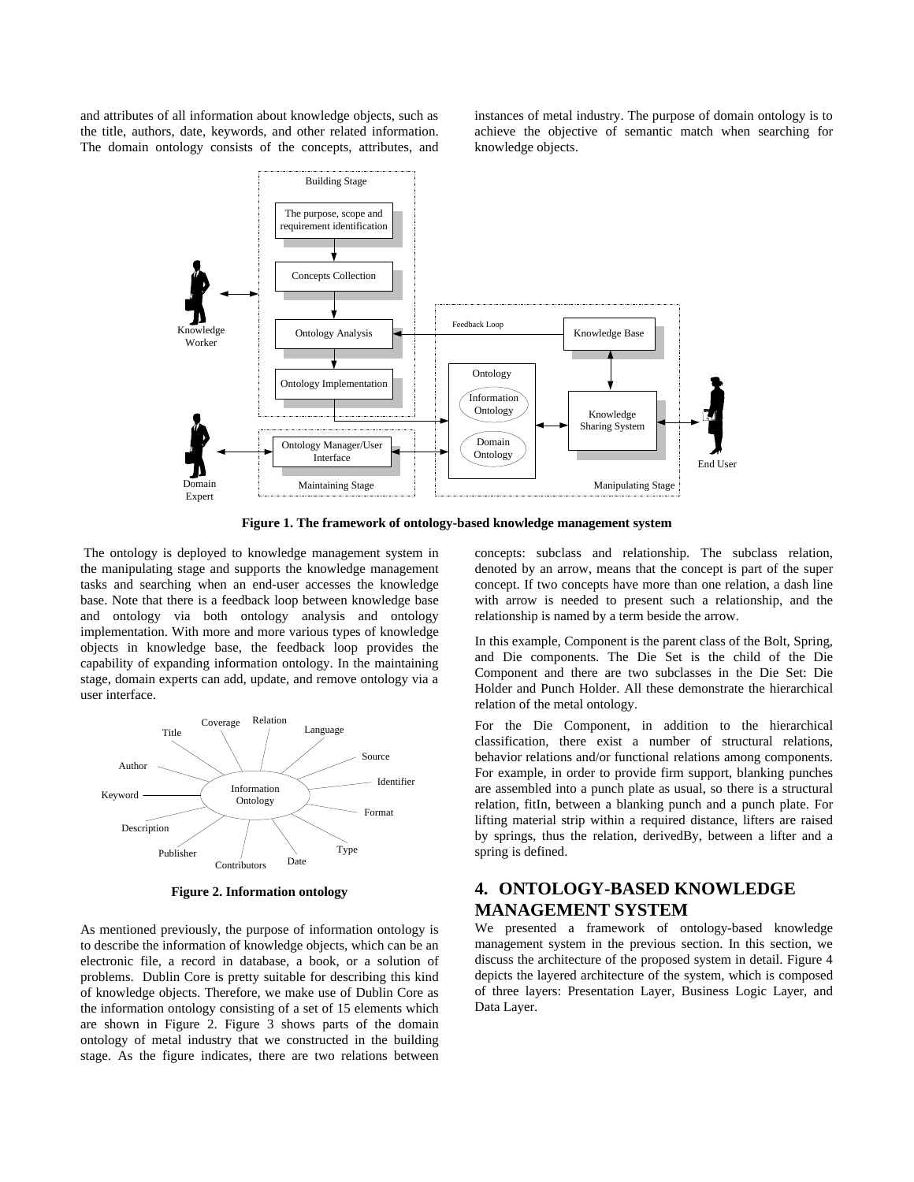and attributes of all information about knowledge objects, such as the title, authors, date, keywords, and other related information. The domain ontology consists of the concepts, attributes, and instances of metal industry. The purpose of domain ontology is to achieve the objective of semantic match when searching for knowledge objects.



**Figure 1. The framework of ontology-based knowledge management system**

 The ontology is deployed to knowledge management system in the manipulating stage and supports the knowledge management tasks and searching when an end-user accesses the knowledge base. Note that there is a feedback loop between knowledge base and ontology via both ontology analysis and ontology implementation. With more and more various types of knowledge objects in knowledge base, the feedback loop provides the capability of expanding information ontology. In the maintaining stage, domain experts can add, update, and remove ontology via a user interface.



**Figure 2. Information ontology**

As mentioned previously, the purpose of information ontology is to describe the information of knowledge objects, which can be an electronic file, a record in database, a book, or a solution of problems. Dublin Core is pretty suitable for describing this kind of knowledge objects. Therefore, we make use of Dublin Core as the information ontology consisting of a set of 15 elements which are shown in Figure 2. Figure 3 shows parts of the domain ontology of metal industry that we constructed in the building stage. As the figure indicates, there are two relations between

concepts: subclass and relationship. The subclass relation, denoted by an arrow, means that the concept is part of the super concept. If two concepts have more than one relation, a dash line with arrow is needed to present such a relationship, and the relationship is named by a term beside the arrow.

In this example, Component is the parent class of the Bolt, Spring, and Die components. The Die Set is the child of the Die Component and there are two subclasses in the Die Set: Die Holder and Punch Holder. All these demonstrate the hierarchical relation of the metal ontology.

For the Die Component, in addition to the hierarchical classification, there exist a number of structural relations, behavior relations and/or functional relations among components. For example, in order to provide firm support, blanking punches are assembled into a punch plate as usual, so there is a structural relation, fitIn, between a blanking punch and a punch plate. For lifting material strip within a required distance, lifters are raised by springs, thus the relation, derivedBy, between a lifter and a spring is defined.

# **4. ONTOLOGY-BASED KNOWLEDGE MANAGEMENT SYSTEM**

We presented a framework of ontology-based knowledge management system in the previous section. In this section, we discuss the architecture of the proposed system in detail. Figure 4 depicts the layered architecture of the system, which is composed of three layers: Presentation Layer, Business Logic Layer, and Data Layer.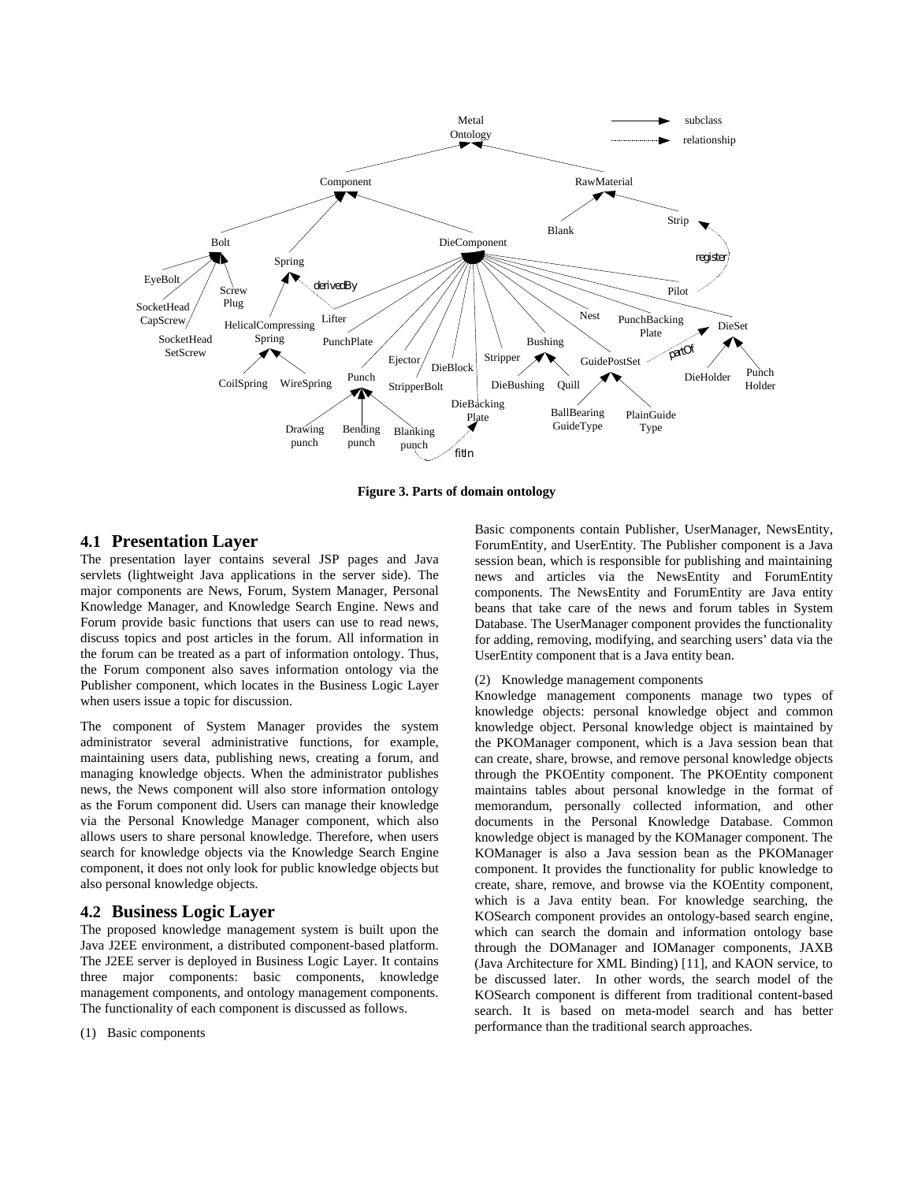

**Figure 3. Parts of domain ontology**

### **4.1 Presentation Layer**

The presentation layer contains several JSP pages and Java servlets (lightweight Java applications in the server side). The major components are News, Forum, System Manager, Personal Knowledge Manager, and Knowledge Search Engine. News and Forum provide basic functions that users can use to read news, discuss topics and post articles in the forum. All information in the forum can be treated as a part of information ontology. Thus, the Forum component also saves information ontology via the Publisher component, which locates in the Business Logic Layer when users issue a topic for discussion.

The component of System Manager provides the system administrator several administrative functions, for example, maintaining users data, publishing news, creating a forum, and managing knowledge objects. When the administrator publishes news, the News component will also store information ontology as the Forum component did. Users can manage their knowledge via the Personal Knowledge Manager component, which also allows users to share personal knowledge. Therefore, when users search for knowledge objects via the Knowledge Search Engine component, it does not only look for public knowledge objects but also personal knowledge objects.

#### **4.2 Business Logic Layer**

The proposed knowledge management system is built upon the Java J2EE environment, a distributed component-based platform. The J2EE server is deployed in Business Logic Layer. It contains three major components: basic components, knowledge management components, and ontology management components. The functionality of each component is discussed as follows.

(1) Basic components

Basic components contain Publisher, UserManager, NewsEntity, ForumEntity, and UserEntity. The Publisher component is a Java session bean, which is responsible for publishing and maintaining news and articles via the NewsEntity and ForumEntity components. The NewsEntity and ForumEntity are Java entity beans that take care of the news and forum tables in System Database. The UserManager component provides the functionality for adding, removing, modifying, and searching users' data via the UserEntity component that is a Java entity bean.

#### (2) Knowledge management components

Knowledge management components manage two types of knowledge objects: personal knowledge object and common knowledge object. Personal knowledge object is maintained by the PKOManager component, which is a Java session bean that can create, share, browse, and remove personal knowledge objects through the PKOEntity component. The PKOEntity component maintains tables about personal knowledge in the format of memorandum, personally collected information, and other documents in the Personal Knowledge Database. Common knowledge object is managed by the KOManager component. The KOManager is also a Java session bean as the PKOManager component. It provides the functionality for public knowledge to create, share, remove, and browse via the KOEntity component, which is a Java entity bean. For knowledge searching, the KOSearch component provides an ontology-based search engine, which can search the domain and information ontology base through the DOManager and IOManager components, JAXB (Java Architecture for XML Binding) [11], and KAON service, to be discussed later. In other words, the search model of the KOSearch component is different from traditional content-based search. It is based on meta-model search and has better performance than the traditional search approaches.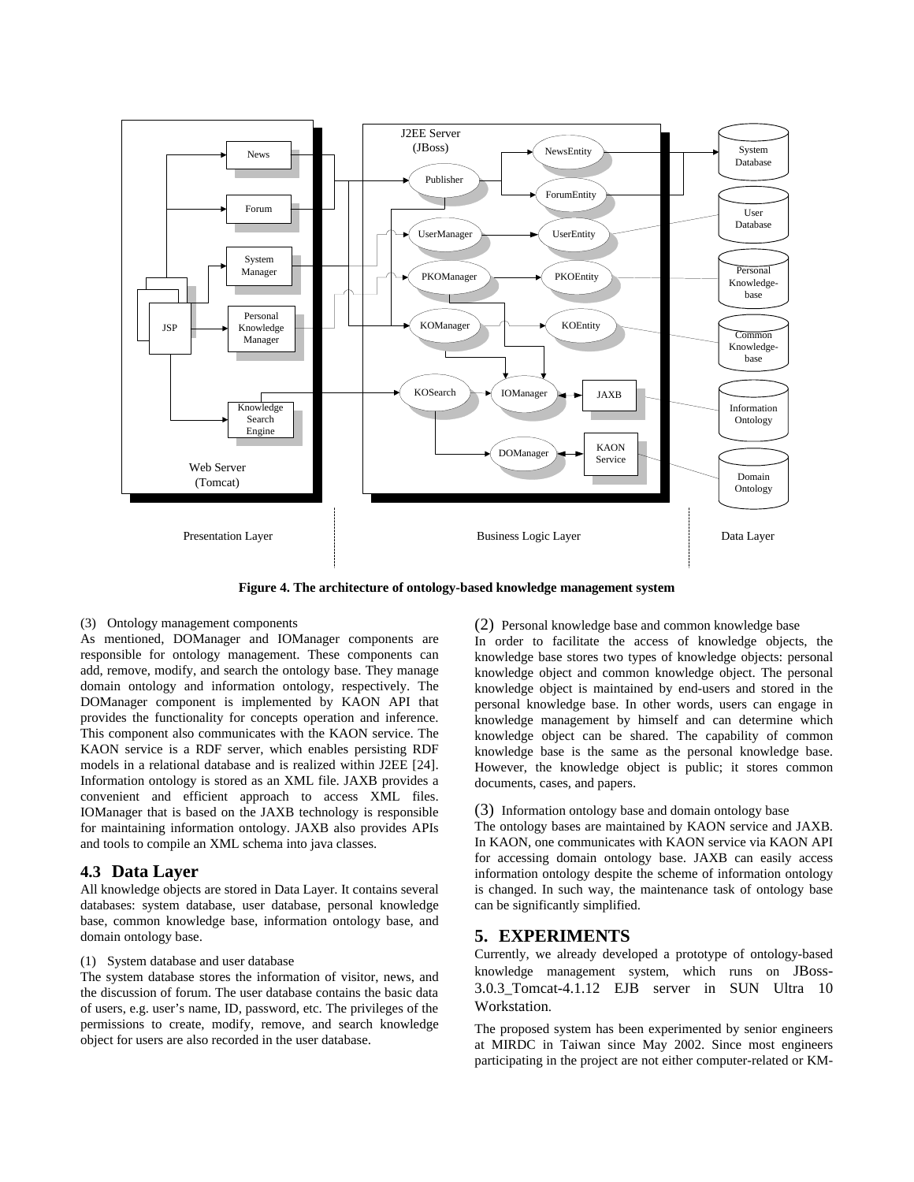

**Figure 4. The architecture of ontology-based knowledge management system**

#### (3) Ontology management components

As mentioned, DOManager and IOManager components are responsible for ontology management. These components can add, remove, modify, and search the ontology base. They manage domain ontology and information ontology, respectively. The DOManager component is implemented by KAON API that provides the functionality for concepts operation and inference. This component also communicates with the KAON service. The KAON service is a RDF server, which enables persisting RDF models in a relational database and is realized within J2EE [24]. Information ontology is stored as an XML file. JAXB provides a convenient and efficient approach to access XML files. IOManager that is based on the JAXB technology is responsible for maintaining information ontology. JAXB also provides APIs and tools to compile an XML schema into java classes.

### **4.3 Data Layer**

All knowledge objects are stored in Data Layer. It contains several databases: system database, user database, personal knowledge base, common knowledge base, information ontology base, and domain ontology base.

#### (1) System database and user database

The system database stores the information of visitor, news, and the discussion of forum. The user database contains the basic data of users, e.g. user's name, ID, password, etc. The privileges of the permissions to create, modify, remove, and search knowledge object for users are also recorded in the user database.

(2) Personal knowledge base and common knowledge base In order to facilitate the access of knowledge objects, the knowledge base stores two types of knowledge objects: personal knowledge object and common knowledge object. The personal knowledge object is maintained by end-users and stored in the personal knowledge base. In other words, users can engage in knowledge management by himself and can determine which knowledge object can be shared. The capability of common knowledge base is the same as the personal knowledge base. However, the knowledge object is public; it stores common documents, cases, and papers.

#### (3) Information ontology base and domain ontology base

The ontology bases are maintained by KAON service and JAXB. In KAON, one communicates with KAON service via KAON API for accessing domain ontology base. JAXB can easily access information ontology despite the scheme of information ontology is changed. In such way, the maintenance task of ontology base can be significantly simplified.

#### **5. EXPERIMENTS**

Currently, we already developed a prototype of ontology-based knowledge management system, which runs on JBoss-3.0.3\_Tomcat-4.1.12 EJB server in SUN Ultra 10 **Workstation** 

The proposed system has been experimented by senior engineers at MIRDC in Taiwan since May 2002. Since most engineers participating in the project are not either computer-related or KM-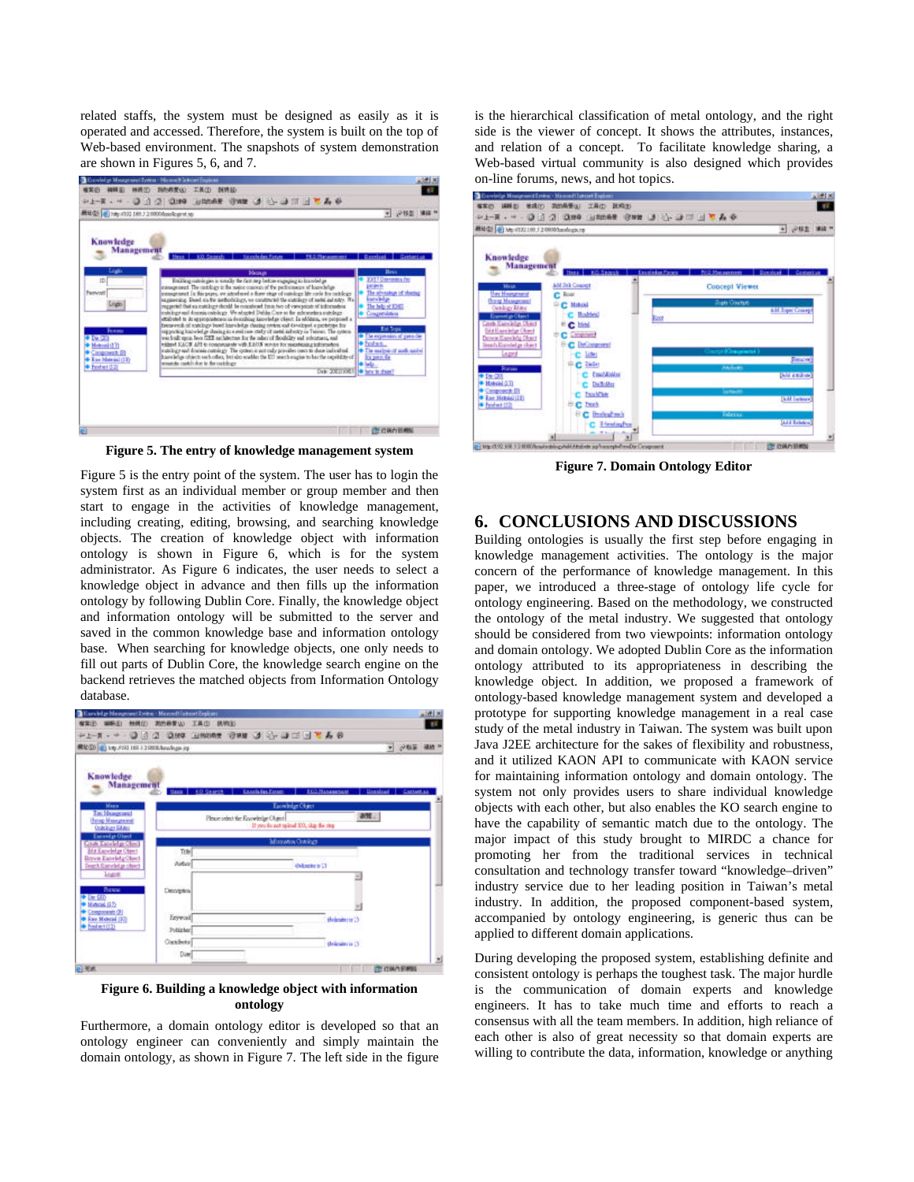related staffs, the system must be designed as easily as it is operated and accessed. Therefore, the system is built on the top of Web-based environment. The snapshots of system demonstration are shown in Figures 5, 6, and 7.



**Figure 5. The entry of knowledge management system**

Figure 5 is the entry point of the system. The user has to login the system first as an individual member or group member and then start to engage in the activities of knowledge management, including creating, editing, browsing, and searching knowledge objects. The creation of knowledge object with information ontology is shown in Figure 6, which is for the system administrator. As Figure 6 indicates, the user needs to select a knowledge object in advance and then fills up the information ontology by following Dublin Core. Finally, the knowledge object and information ontology will be submitted to the server and saved in the common knowledge base and information ontology base. When searching for knowledge objects, one only needs to fill out parts of Dublin Core, the knowledge search engine on the backend retrieves the matched objects from Information Ontology database.



**Figure 6. Building a knowledge object with information ontology**

Furthermore, a domain ontology editor is developed so that an ontology engineer can conveniently and simply maintain the domain ontology, as shown in Figure 7. The left side in the figure is the hierarchical classification of metal ontology, and the right side is the viewer of concept. It shows the attributes, instances, and relation of a concept. To facilitate knowledge sharing, a Web-based virtual community is also designed which provides on-line forums, news, and hot topics.



**Figure 7. Domain Ontology Editor**

## **6. CONCLUSIONS AND DISCUSSIONS**

Building ontologies is usually the first step before engaging in knowledge management activities. The ontology is the major concern of the performance of knowledge management. In this paper, we introduced a three-stage of ontology life cycle for ontology engineering. Based on the methodology, we constructed the ontology of the metal industry. We suggested that ontology should be considered from two viewpoints: information ontology and domain ontology. We adopted Dublin Core as the information ontology attributed to its appropriateness in describing the knowledge object. In addition, we proposed a framework of ontology-based knowledge management system and developed a prototype for supporting knowledge management in a real case study of the metal industry in Taiwan. The system was built upon Java J2EE architecture for the sakes of flexibility and robustness, and it utilized KAON API to communicate with KAON service for maintaining information ontology and domain ontology. The system not only provides users to share individual knowledge objects with each other, but also enables the KO search engine to have the capability of semantic match due to the ontology. The major impact of this study brought to MIRDC a chance for promoting her from the traditional services in technical consultation and technology transfer toward "knowledge–driven" industry service due to her leading position in Taiwan's metal industry. In addition, the proposed component-based system, accompanied by ontology engineering, is generic thus can be applied to different domain applications.

During developing the proposed system, establishing definite and consistent ontology is perhaps the toughest task. The major hurdle is the communication of domain experts and knowledge engineers. It has to take much time and efforts to reach a consensus with all the team members. In addition, high reliance of each other is also of great necessity so that domain experts are willing to contribute the data, information, knowledge or anything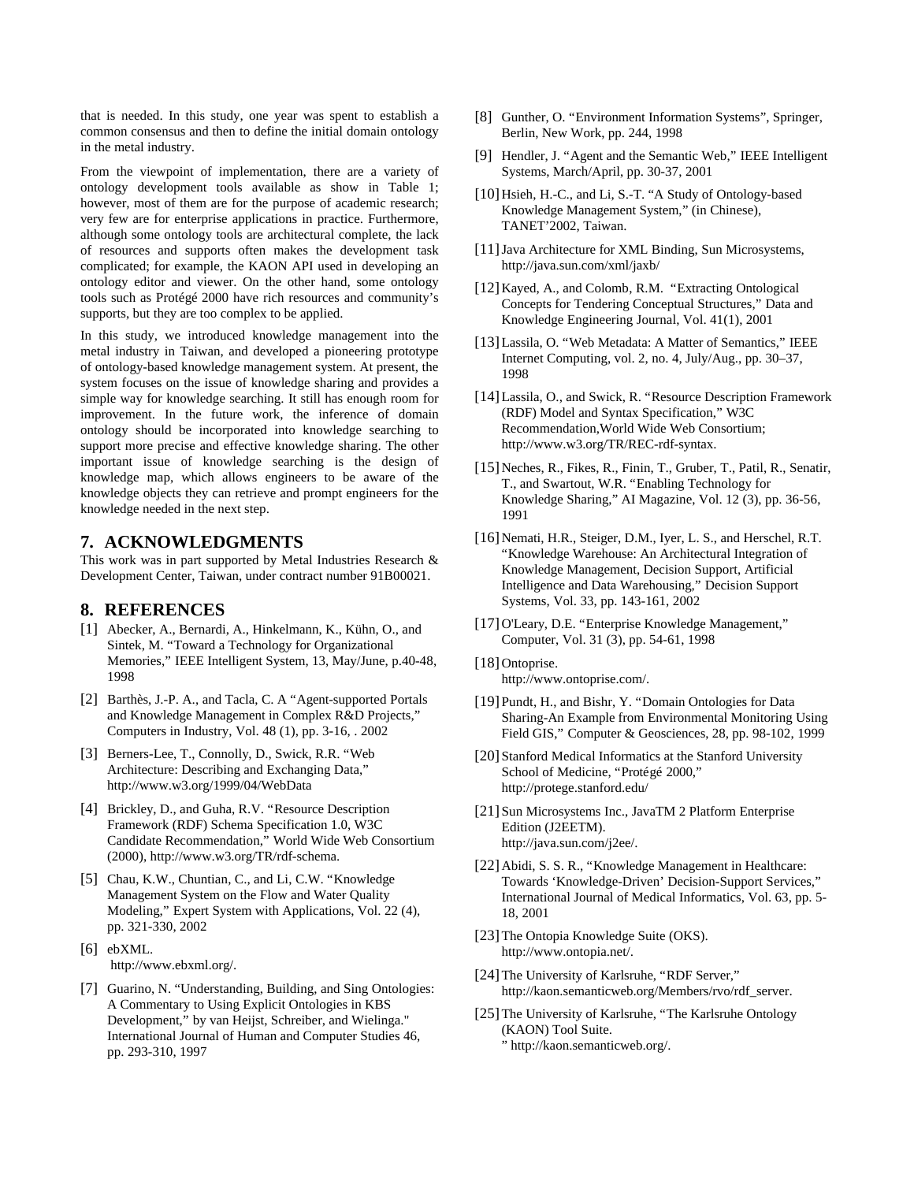that is needed. In this study, one year was spent to establish a common consensus and then to define the initial domain ontology in the metal industry.

From the viewpoint of implementation, there are a variety of ontology development tools available as show in Table 1; however, most of them are for the purpose of academic research; very few are for enterprise applications in practice. Furthermore, although some ontology tools are architectural complete, the lack of resources and supports often makes the development task complicated; for example, the KAON API used in developing an ontology editor and viewer. On the other hand, some ontology tools such as Protégé 2000 have rich resources and community's supports, but they are too complex to be applied.

In this study, we introduced knowledge management into the metal industry in Taiwan, and developed a pioneering prototype of ontology-based knowledge management system. At present, the system focuses on the issue of knowledge sharing and provides a simple way for knowledge searching. It still has enough room for improvement. In the future work, the inference of domain ontology should be incorporated into knowledge searching to support more precise and effective knowledge sharing. The other important issue of knowledge searching is the design of knowledge map, which allows engineers to be aware of the knowledge objects they can retrieve and prompt engineers for the knowledge needed in the next step.

## **7. ACKNOWLEDGMENTS**

This work was in part supported by Metal Industries Research & Development Center, Taiwan, under contract number 91B00021.

## **8. REFERENCES**

- [1] Abecker, A., Bernardi, A., Hinkelmann, K., Kühn, O., and Sintek, M. "Toward a Technology for Organizational Memories," IEEE Intelligent System, 13, May/June, p.40-48, 1998
- [2] Barthès, J.-P. A., and Tacla, C. A "Agent-supported Portals" and Knowledge Management in Complex R&D Projects," Computers in Industry, Vol. 48 (1), pp. 3-16, . 2002
- [3] Berners-Lee, T., Connolly, D., Swick, R.R. "Web Architecture: Describing and Exchanging Data," http://www.w3.org/1999/04/WebData
- [4] Brickley, D., and Guha, R.V. "Resource Description Framework (RDF) Schema Specification 1.0, W3C Candidate Recommendation," World Wide Web Consortium (2000), http://www.w3.org/TR/rdf-schema.
- [5] Chau, K.W., Chuntian, C., and Li, C.W. "Knowledge Management System on the Flow and Water Quality Modeling," Expert System with Applications, Vol. 22 (4), pp. 321-330, 2002
- [6] ebXML. http://www.ebxml.org/.
- [7] Guarino, N. "Understanding, Building, and Sing Ontologies: A Commentary to Using Explicit Ontologies in KBS Development," by van Heijst, Schreiber, and Wielinga." International Journal of Human and Computer Studies 46, pp. 293-310, 1997
- [8] Gunther, O. "Environment Information Systems", Springer, Berlin, New Work, pp. 244, 1998
- [9] Hendler, J. "Agent and the Semantic Web," IEEE Intelligent Systems, March/April, pp. 30-37, 2001
- [10] Hsieh, H.-C., and Li, S.-T. "A Study of Ontology-based Knowledge Management System," (in Chinese), TANET'2002, Taiwan.
- [11]Java Architecture for XML Binding, Sun Microsystems, http://java.sun.com/xml/jaxb/
- [12] Kayed, A., and Colomb, R.M. "Extracting Ontological Concepts for Tendering Conceptual Structures," Data and Knowledge Engineering Journal, Vol. 41(1), 2001
- [13]Lassila, O. "Web Metadata: A Matter of Semantics," IEEE Internet Computing, vol. 2, no. 4, July/Aug., pp. 30–37, 1998
- [14] Lassila, O., and Swick, R. "Resource Description Framework (RDF) Model and Syntax Specification," W3C Recommendation,World Wide Web Consortium; http://www.w3.org/TR/REC-rdf-syntax.
- [15]Neches, R., Fikes, R., Finin, T., Gruber, T., Patil, R., Senatir, T., and Swartout, W.R. "Enabling Technology for Knowledge Sharing," AI Magazine, Vol. 12 (3), pp. 36-56, 1991
- [16] Nemati, H.R., Steiger, D.M., Iyer, L. S., and Herschel, R.T. "Knowledge Warehouse: An Architectural Integration of Knowledge Management, Decision Support, Artificial Intelligence and Data Warehousing," Decision Support Systems, Vol. 33, pp. 143-161, 2002
- [17]O'Leary, D.E. "Enterprise Knowledge Management," Computer, Vol. 31 (3), pp. 54-61, 1998
- [18] Ontoprise. http://www.ontoprise.com/.
- [19] Pundt, H., and Bishr, Y. "Domain Ontologies for Data Sharing-An Example from Environmental Monitoring Using Field GIS," Computer & Geosciences, 28, pp. 98-102, 1999
- [20] Stanford Medical Informatics at the Stanford University School of Medicine, "Protégé 2000," http://protege.stanford.edu/
- [21] Sun Microsystems Inc., JavaTM 2 Platform Enterprise Edition (J2EETM). http://java.sun.com/j2ee/.
- [22]Abidi, S. S. R., "Knowledge Management in Healthcare: Towards 'Knowledge-Driven' Decision-Support Services," International Journal of Medical Informatics, Vol. 63, pp. 5- 18, 2001
- [23] The Ontopia Knowledge Suite (OKS). http://www.ontopia.net/.
- [24]The University of Karlsruhe, "RDF Server," http://kaon.semanticweb.org/Members/rvo/rdf\_server.
- [25] The University of Karlsruhe, "The Karlsruhe Ontology (KAON) Tool Suite. " http://kaon.semanticweb.org/.